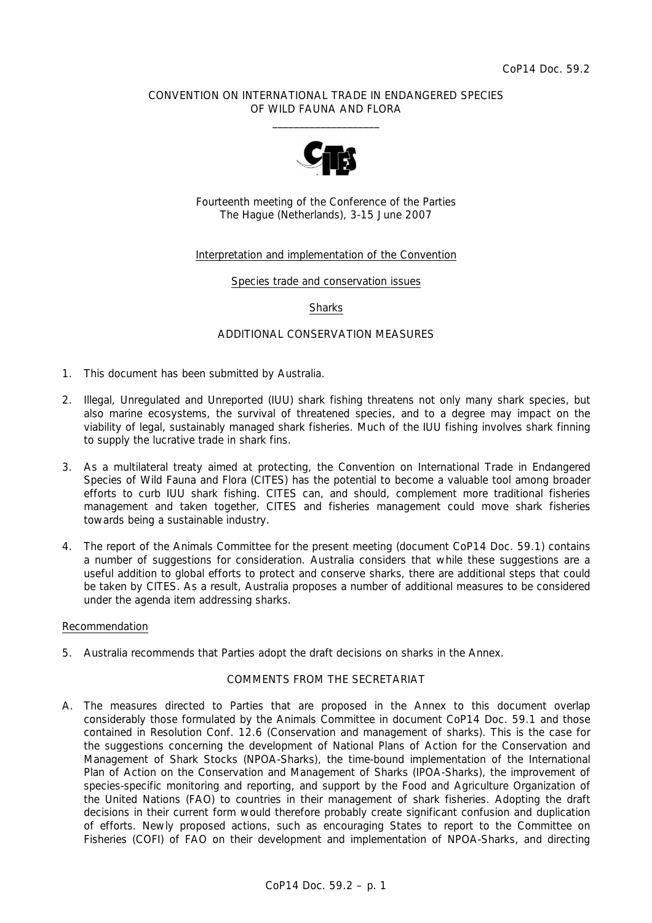### CONVENTION ON INTERNATIONAL TRADE IN ENDANGERED SPECIES OF WILD FAUNA AND FLORA  $\frac{1}{2}$  , and the set of the set of the set of the set of the set of the set of the set of the set of the set of the set of the set of the set of the set of the set of the set of the set of the set of the set of the set



Fourteenth meeting of the Conference of the Parties The Hague (Netherlands), 3-15 June 2007

### Interpretation and implementation of the Convention

Species trade and conservation issues

#### **Sharks**

#### ADDITIONAL CONSERVATION MEASURES

- 1. This document has been submitted by Australia.
- 2. Illegal, Unregulated and Unreported (IUU) shark fishing threatens not only many shark species, but also marine ecosystems, the survival of threatened species, and to a degree may impact on the viability of legal, sustainably managed shark fisheries. Much of the IUU fishing involves shark finning to supply the lucrative trade in shark fins.
- 3. As a multilateral treaty aimed at protecting, the Convention on International Trade in Endangered Species of Wild Fauna and Flora (CITES) has the potential to become a valuable tool among broader efforts to curb IUU shark fishing. CITES can, and should, complement more traditional fisheries management and taken together, CITES and fisheries management could move shark fisheries towards being a sustainable industry.
- 4. The report of the Animals Committee for the present meeting (document CoP14 Doc. 59.1) contains a number of suggestions for consideration. Australia considers that while these suggestions are a useful addition to global efforts to protect and conserve sharks, there are additional steps that could be taken by CITES. As a result, Australia proposes a number of additional measures to be considered under the agenda item addressing sharks.

#### Recommendation

5. Australia recommends that Parties adopt the draft decisions on sharks in the Annex.

#### COMMENTS FROM THE SECRETARIAT

A. The measures directed to Parties that are proposed in the Annex to this document overlap considerably those formulated by the Animals Committee in document CoP14 Doc. 59.1 and those contained in Resolution Conf. 12.6 (Conservation and management of sharks). This is the case for the suggestions concerning the development of National Plans of Action for the Conservation and Management of Shark Stocks (NPOA-Sharks), the time-bound implementation of the International Plan of Action on the Conservation and Management of Sharks (IPOA-Sharks), the improvement of species-specific monitoring and reporting, and support by the Food and Agriculture Organization of the United Nations (FAO) to countries in their management of shark fisheries. Adopting the draft decisions in their current form would therefore probably create significant confusion and duplication of efforts. Newly proposed actions, such as encouraging States to report to the Committee on Fisheries (COFI) of FAO on their development and implementation of NPOA-Sharks, and directing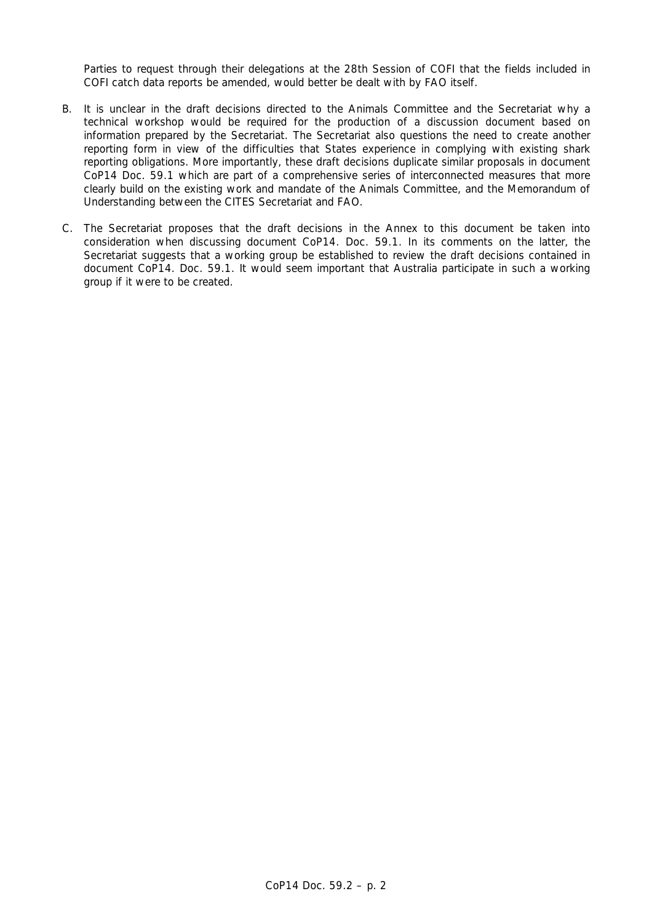Parties to request through their delegations at the 28th Session of COFI that the fields included in COFI catch data reports be amended, would better be dealt with by FAO itself.

- B. It is unclear in the draft decisions directed to the Animals Committee and the Secretariat why a technical workshop would be required for the production of a discussion document based on information prepared by the Secretariat. The Secretariat also questions the need to create another reporting form in view of the difficulties that States experience in complying with existing shark reporting obligations. More importantly, these draft decisions duplicate similar proposals in document CoP14 Doc. 59.1 which are part of a comprehensive series of interconnected measures that more clearly build on the existing work and mandate of the Animals Committee, and the Memorandum of Understanding between the CITES Secretariat and FAO.
- C. The Secretariat proposes that the draft decisions in the Annex to this document be taken into consideration when discussing document CoP14. Doc. 59.1. In its comments on the latter, the Secretariat suggests that a working group be established to review the draft decisions contained in document CoP14. Doc. 59.1. It would seem important that Australia participate in such a working group if it were to be created.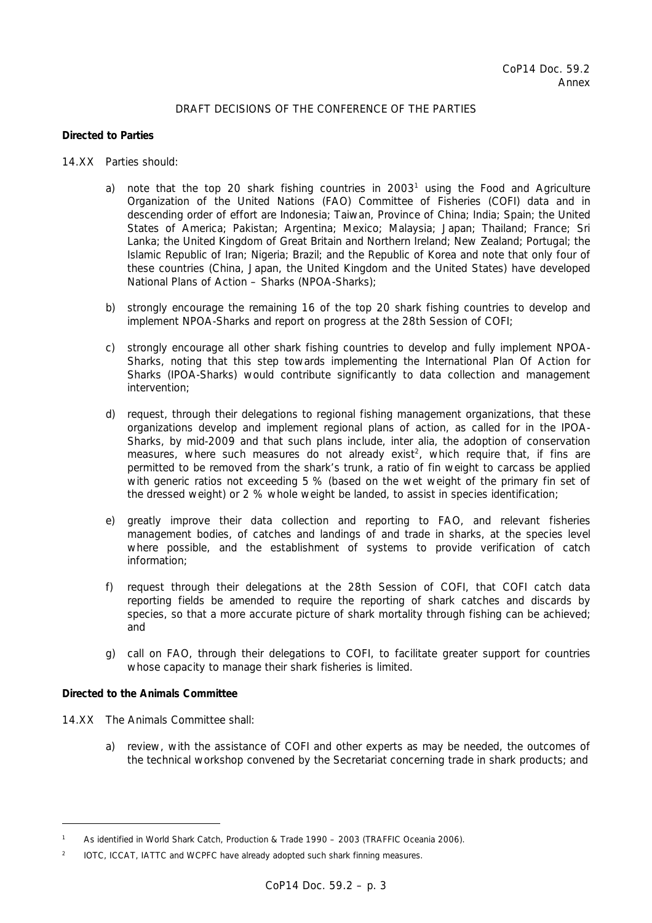# DRAFT DECISIONS OF THE CONFERENCE OF THE PARTIES

### *Directed to Parties*

- 14.XX Parties should:
- a) note that the top 20 shark fishing countries in  $2003<sup>1</sup>$  using the Food and Agriculture Organization of the United Nations (FAO) Committee of Fisheries (COFI) data and in descending order of effort are Indonesia; Taiwan, Province of China; India; Spain; the United States of America; Pakistan; Argentina; Mexico; Malaysia; Japan; Thailand; France; Sri Lanka; the United Kingdom of Great Britain and Northern Ireland; New Zealand; Portugal; the Islamic Republic of Iran; Nigeria; Brazil; and the Republic of Korea and note that only four of these countries (China, Japan, the United Kingdom and the United States) have developed National Plans of Action – Sharks (NPOA-Sharks);
	- b) strongly encourage the remaining 16 of the top 20 shark fishing countries to develop and implement NPOA-Sharks and report on progress at the 28th Session of COFI;
	- c) strongly encourage all other shark fishing countries to develop and fully implement NPOA-Sharks, noting that this step towards implementing the International Plan Of Action for Sharks (IPOA-Sharks) would contribute significantly to data collection and management intervention;
	- d) request, through their delegations to regional fishing management organizations, that these organizations develop and implement regional plans of action, as called for in the IPOA-Sharks, by mid-2009 and that such plans include, *inter alia*, the adoption of conservation measures, where such measures do not already exist<sup>2</sup>, which require that, if fins are permitted to be removed from the shark's trunk, a ratio of fin weight to carcass be applied with generic ratios not exceeding 5 % (based on the wet weight of the primary fin set of the dressed weight) or 2 % whole weight be landed, to assist in species identification;
	- e) greatly improve their data collection and reporting to FAO, and relevant fisheries management bodies, of catches and landings of and trade in sharks, at the species level where possible, and the establishment of systems to provide verification of catch information;
	- f) request through their delegations at the 28th Session of COFI, that COFI catch data reporting fields be amended to require the reporting of shark catches and discards by species, so that a more accurate picture of shark mortality through fishing can be achieved; and
	- g) call on FAO, through their delegations to COFI, to facilitate greater support for countries whose capacity to manage their shark fisheries is limited.

# *Directed to the Animals Committee*

 $\overline{a}$ 

- 14.XX The Animals Committee shall:
	- a) review, with the assistance of COFI and other experts as may be needed, the outcomes of the technical workshop convened by the Secretariat concerning trade in shark products; and

<sup>&</sup>lt;sup>1</sup> As identified in World Shark Catch, Production & Trade 1990 – 2003 (TRAFFIC Oceania 2006).

*<sup>2</sup> IOTC, ICCAT, IATTC and WCPFC have already adopted such shark finning measures.*